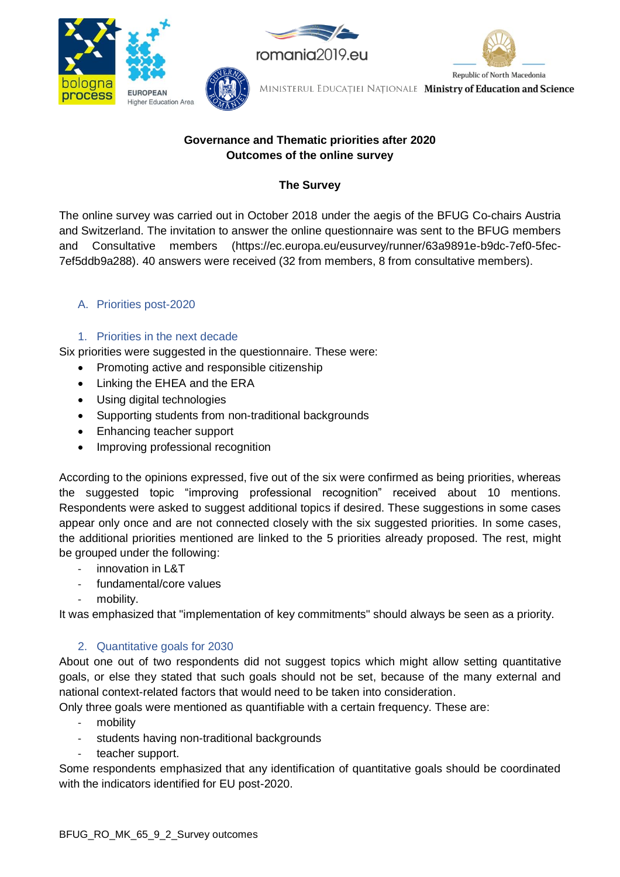

## **Governance and Thematic priorities after 2020 Outcomes of the online survey**

# **The Survey**

The online survey was carried out in October 2018 under the aegis of the BFUG Co-chairs Austria and Switzerland. The invitation to answer the online questionnaire was sent to the BFUG members and Consultative members (https://ec.europa.eu/eusurvey/runner/63a9891e-b9dc-7ef0-5fec-7ef5ddb9a288). 40 answers were received (32 from members, 8 from consultative members).

# A. Priorities post-2020

## 1. Priorities in the next decade

Six priorities were suggested in the questionnaire. These were:

- Promoting active and responsible citizenship
- Linking the EHEA and the ERA
- Using digital technologies
- Supporting students from non-traditional backgrounds
- Enhancing teacher support
- Improving professional recognition

According to the opinions expressed, five out of the six were confirmed as being priorities, whereas the suggested topic "improving professional recognition" received about 10 mentions. Respondents were asked to suggest additional topics if desired. These suggestions in some cases appear only once and are not connected closely with the six suggested priorities. In some cases, the additional priorities mentioned are linked to the 5 priorities already proposed. The rest, might be grouped under the following:

- innovation in L&T
- fundamental/core values
- mobility.

It was emphasized that "implementation of key commitments" should always be seen as a priority.

## 2. Quantitative goals for 2030

About one out of two respondents did not suggest topics which might allow setting quantitative goals, or else they stated that such goals should not be set, because of the many external and national context-related factors that would need to be taken into consideration.

Only three goals were mentioned as quantifiable with a certain frequency. These are:

- mobility
- students having non-traditional backgrounds
- teacher support.

Some respondents emphasized that any identification of quantitative goals should be coordinated with the indicators identified for EU post-2020.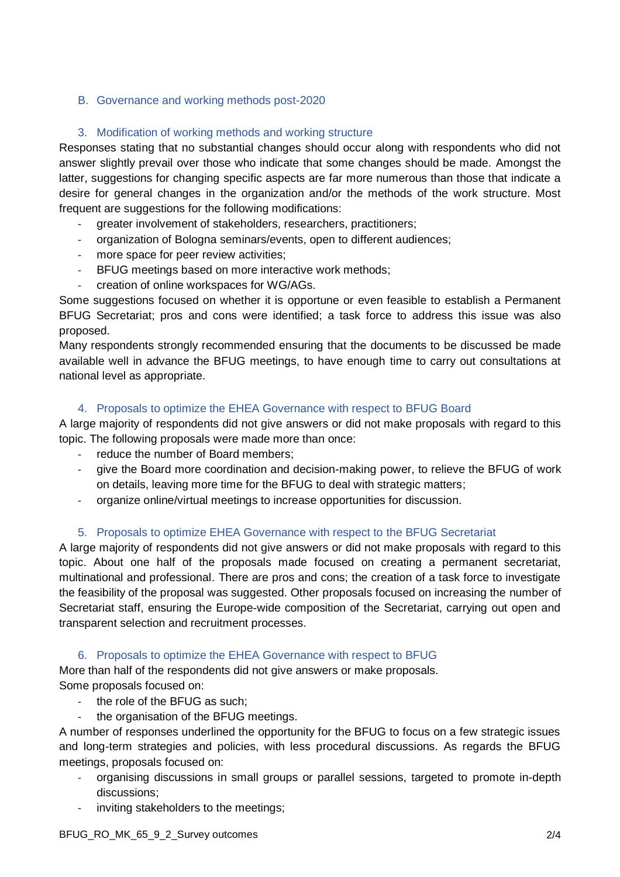### B. Governance and working methods post-2020

## 3. Modification of working methods and working structure

Responses stating that no substantial changes should occur along with respondents who did not answer slightly prevail over those who indicate that some changes should be made. Amongst the latter, suggestions for changing specific aspects are far more numerous than those that indicate a desire for general changes in the organization and/or the methods of the work structure. Most frequent are suggestions for the following modifications:

- greater involvement of stakeholders, researchers, practitioners;
- organization of Bologna seminars/events, open to different audiences;
- more space for peer review activities;
- BFUG meetings based on more interactive work methods;
- creation of online workspaces for WG/AGs.

Some suggestions focused on whether it is opportune or even feasible to establish a Permanent BFUG Secretariat; pros and cons were identified; a task force to address this issue was also proposed.

Many respondents strongly recommended ensuring that the documents to be discussed be made available well in advance the BFUG meetings, to have enough time to carry out consultations at national level as appropriate.

### 4. Proposals to optimize the EHEA Governance with respect to BFUG Board

A large majority of respondents did not give answers or did not make proposals with regard to this topic. The following proposals were made more than once:

- reduce the number of Board members;
- give the Board more coordination and decision-making power, to relieve the BFUG of work on details, leaving more time for the BFUG to deal with strategic matters;
- organize online/virtual meetings to increase opportunities for discussion.

### 5. Proposals to optimize EHEA Governance with respect to the BFUG Secretariat

A large majority of respondents did not give answers or did not make proposals with regard to this topic. About one half of the proposals made focused on creating a permanent secretariat, multinational and professional. There are pros and cons; the creation of a task force to investigate the feasibility of the proposal was suggested. Other proposals focused on increasing the number of Secretariat staff, ensuring the Europe-wide composition of the Secretariat, carrying out open and transparent selection and recruitment processes.

### 6. Proposals to optimize the EHEA Governance with respect to BFUG

More than half of the respondents did not give answers or make proposals. Some proposals focused on:

- the role of the BFUG as such;
- the organisation of the BFUG meetings.

A number of responses underlined the opportunity for the BFUG to focus on a few strategic issues and long-term strategies and policies, with less procedural discussions. As regards the BFUG meetings, proposals focused on:

- organising discussions in small groups or parallel sessions, targeted to promote in-depth discussions;
- inviting stakeholders to the meetings;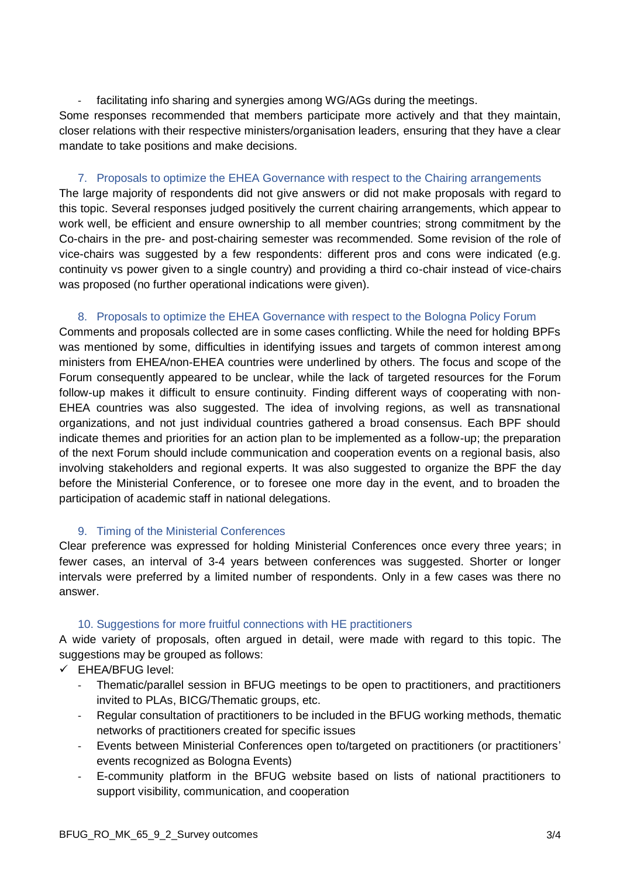- facilitating info sharing and synergies among WG/AGs during the meetings. Some responses recommended that members participate more actively and that they maintain, closer relations with their respective ministers/organisation leaders, ensuring that they have a clear mandate to take positions and make decisions.

#### 7. Proposals to optimize the EHEA Governance with respect to the Chairing arrangements

The large majority of respondents did not give answers or did not make proposals with regard to this topic. Several responses judged positively the current chairing arrangements, which appear to work well, be efficient and ensure ownership to all member countries; strong commitment by the Co-chairs in the pre- and post-chairing semester was recommended. Some revision of the role of vice-chairs was suggested by a few respondents: different pros and cons were indicated (e.g. continuity vs power given to a single country) and providing a third co-chair instead of vice-chairs was proposed (no further operational indications were given).

#### 8. Proposals to optimize the EHEA Governance with respect to the Bologna Policy Forum

Comments and proposals collected are in some cases conflicting. While the need for holding BPFs was mentioned by some, difficulties in identifying issues and targets of common interest among ministers from EHEA/non-EHEA countries were underlined by others. The focus and scope of the Forum consequently appeared to be unclear, while the lack of targeted resources for the Forum follow-up makes it difficult to ensure continuity. Finding different ways of cooperating with non-EHEA countries was also suggested. The idea of involving regions, as well as transnational organizations, and not just individual countries gathered a broad consensus. Each BPF should indicate themes and priorities for an action plan to be implemented as a follow-up; the preparation of the next Forum should include communication and cooperation events on a regional basis, also involving stakeholders and regional experts. It was also suggested to organize the BPF the day before the Ministerial Conference, or to foresee one more day in the event, and to broaden the participation of academic staff in national delegations.

### 9. Timing of the Ministerial Conferences

Clear preference was expressed for holding Ministerial Conferences once every three years; in fewer cases, an interval of 3-4 years between conferences was suggested. Shorter or longer intervals were preferred by a limited number of respondents. Only in a few cases was there no answer.

### 10. Suggestions for more fruitful connections with HE practitioners

A wide variety of proposals, often argued in detail, were made with regard to this topic. The suggestions may be grouped as follows:

- ✓ EHEA/BFUG level:
	- Thematic/parallel session in BFUG meetings to be open to practitioners, and practitioners invited to PLAs, BICG/Thematic groups, etc.
	- Regular consultation of practitioners to be included in the BFUG working methods, thematic networks of practitioners created for specific issues
	- Events between Ministerial Conferences open to/targeted on practitioners (or practitioners' events recognized as Bologna Events)
	- E-community platform in the BFUG website based on lists of national practitioners to support visibility, communication, and cooperation